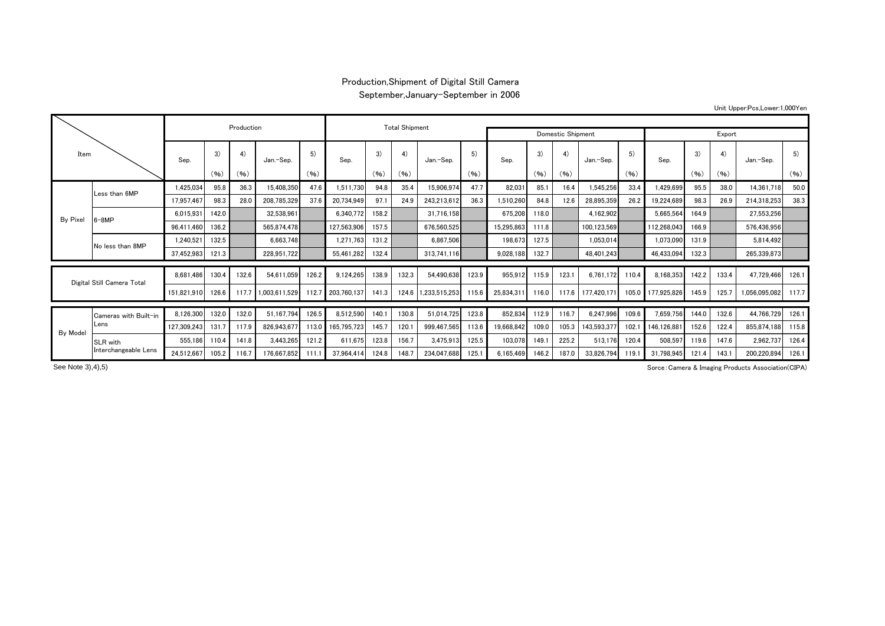## Production,Shipment of Digital Still Camera September,January-September in 2006

Unit Upper:Pcs,Lower:1,000Yen

| Item                       |                               |             | Production           |       | <b>Total Shipment</b> |       |             |       |       |                   |       |            |       |       |                 |       |             |       |       |               |       |
|----------------------------|-------------------------------|-------------|----------------------|-------|-----------------------|-------|-------------|-------|-------|-------------------|-------|------------|-------|-------|-----------------|-------|-------------|-------|-------|---------------|-------|
|                            |                               |             |                      |       |                       |       |             |       |       | Domestic Shipment |       | Export     |       |       |                 |       |             |       |       |               |       |
|                            |                               | Sep.        | 3)                   | 4)    | Jan.-Sep.             |       | Sep.        | 3)    | 4)    | Jan.-Sep.         | 5)    | Sep.       | 3)    | 4)    | 5)<br>Jan.-Sep. |       | Sep.        | 3)    | 4)    | Jan.-Sep.     | 5)    |
|                            |                               |             | (96)                 | (96)  |                       | (96)  |             | (96)  | (96)  |                   | (96)  |            | (96)  | (96)  |                 | (96)  |             | (96)  | (96)  |               | (96)  |
|                            | Less than 6MP                 | 1,425,034   | 95.8                 | 36.3  | 15,408,350            | 47.6  | 1,511,730   | 94.8  | 35.4  | 15,906,974        | 47.7  | 82,031     | 85.1  | 16.4  | 1,545,256       | 33.4  | 1,429,699   | 95.5  | 38.0  | 14,361,718    | 50.0  |
| By Pixel                   |                               | 17,957,467  | 98.3                 | 28.0  | 208,785,329           | 37.6  | 20,734,949  | 97.1  | 24.9  | 243,213,612       | 36.3  | 1,510,260  | 84.8  | 12.6  | 28,895,359      | 26.2  | 19,224,689  | 98.3  | 26.9  | 214,318,253   | 38.3  |
|                            | $6 - 8MP$                     | 6.015.931   | 142.0                |       | 32.538.961            |       | 6,340,772   | 158.2 |       | 31,716,158        |       | 675,208    | 118.0 |       | 4,162,902       |       | 5,665,564   | 164.9 |       | 27,553,256    |       |
|                            |                               | 96,411,460  | 136.2                |       | 565.874.478           |       | 127,563,906 | 157.5 |       | 676,560,525       |       | 15,295,863 | 111.8 |       | 100,123,569     |       | 112,268,043 | 166.9 |       | 576,436,956   |       |
|                            | No less than 8MP              | 1,240,521   | 132.5                |       | 6,663,748             |       | 1,271,763   | 131.2 |       | 6,867,506         |       | 198,673    | 127.5 |       | 1,053,014       |       | 1,073,090   | 131.9 |       | 5.814.492     |       |
|                            |                               | 37,452,983  | 121.3                |       | 228,951,722           |       | 55,461,282  | 132.4 |       | 313,741,116       |       | 9,028,188  | 132.7 |       | 48.401.243      |       | 46,433,094  | 132.3 |       | 265,339,873   |       |
|                            |                               |             |                      |       |                       |       |             |       |       |                   |       |            |       |       |                 |       |             |       |       |               |       |
| Digital Still Camera Total |                               | 8.681.486   | 130.4                | 132.6 | 54.611.059            | 126.2 | 9.124.265   | 138.9 | 132.3 | 54.490.638        | 123.9 | 955.912    | 115.9 | 123.  | 6.761.172       | 110.4 | 8.168.353   | 142.2 | 133.4 | 47.729.466    | 126.1 |
|                            |                               |             | 151,821,910<br>126.6 | 117.7 | 1,003,611,529         | 112.7 | 203.760.137 | 141.3 | 124.6 | 1,233,515,253     | 115.6 | 25.834.311 | 116.0 | 117.6 | 177.420.171     | 105.0 | 177,925,826 | 145.9 | 125.7 | 1,056,095,082 | 117.7 |
|                            | Cameras with Built-in<br>Lens | 8,126,300   | 132.0                | 132.0 | 51,167,794            | 126.5 | 8,512,590   | 140.  | 130.8 | 51.014.725        | 123.8 | 852,834    | 112.9 | 116.7 | 6,247,996       | 109.6 | 7,659,756   | 144.0 | 132.6 | 44,766,729    | 126.1 |
|                            |                               | 127,309,243 | 131.7                | 117.9 | 826,943,67            | 113.0 | 165,795,723 | 145.7 | 120.1 | 999,467,565       | 113.6 | 19,668,842 | 109.0 | 105.3 | 143,593,377     | 102.1 | 146.126.881 | 152.6 | 122.4 | 855,874,188   | 115.8 |
| By Model                   | SLR with                      | 555,186     | 110.4                | 141.8 | 3,443,265             | 121.2 | 611,675     | 123.8 | 156.7 | 3,475,913         | 125.5 | 103,078    | 149.7 | 225.2 | 513,176         | 120.4 | 508,597     | 119.6 | 147.6 | 2,962,737     | 126.4 |
|                            | Interchangeable Lens          | 24,512,667  | 105.2                | 116.7 | 176.667.852           | 111.  | 37.964.414  | 124.8 | 148.7 | 234.047.688       | 125.1 | 6,165,469  | 146.2 | 187.0 | 33,826,794      | 119.1 | 31,798,945  | 121.4 | 143.1 | 200,220,894   | 126.1 |

See Note 3), 4), 5)

Sorce:Camera & Imaging Products Association(CIPA)